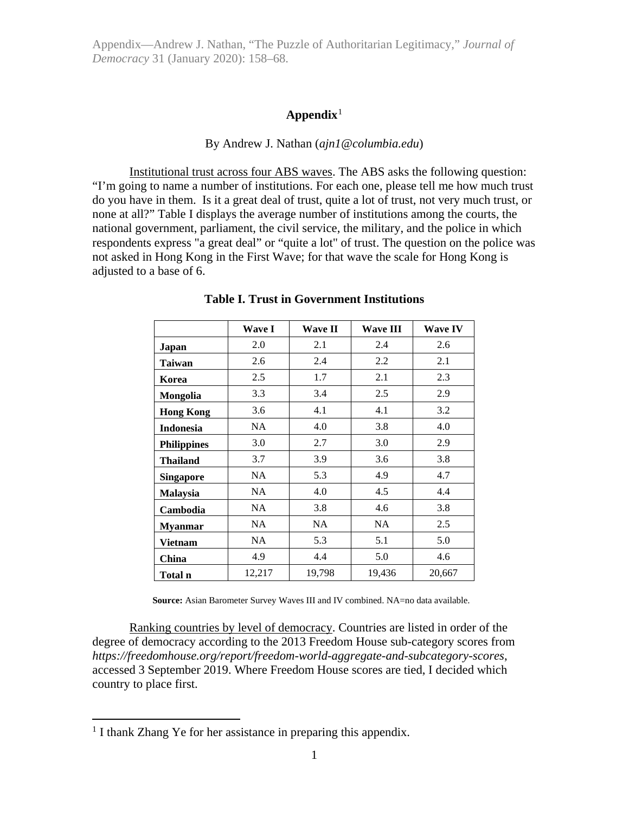## **Appendix**[1](#page-0-0)

#### By Andrew J. Nathan (*ajn1@columbia.edu*)

Institutional trust across four ABS waves. The ABS asks the following question: "I'm going to name a number of institutions. For each one, please tell me how much trust do you have in them. Is it a great deal of trust, quite a lot of trust, not very much trust, or none at all?" Table I displays the average number of institutions among the courts, the national government, parliament, the civil service, the military, and the police in which respondents express "a great deal" or "quite a lot" of trust. The question on the police was not asked in Hong Kong in the First Wave; for that wave the scale for Hong Kong is adjusted to a base of 6.

|                    | <b>Wave I</b> | <b>Wave II</b> | <b>Wave III</b> | <b>Wave IV</b> |
|--------------------|---------------|----------------|-----------------|----------------|
| Japan              | 2.0           | 2.1            | 2.4             | 2.6            |
| Taiwan             | 2.6           | 2.4            | 2.2             | 2.1            |
| Korea              | 2.5           | 1.7            | 2.1             | 2.3            |
| Mongolia           | 3.3           | 3.4            | 2.5             | 2.9            |
| <b>Hong Kong</b>   | 3.6           | 4.1            | 4.1             | 3.2            |
| <b>Indonesia</b>   | NA            | 4.0            | 3.8             | 4.0            |
| <b>Philippines</b> | 3.0           | 2.7            | 3.0             | 2.9            |
| <b>Thailand</b>    | 3.7           | 3.9            | 3.6             | 3.8            |
| <b>Singapore</b>   | NA            | 5.3            | 4.9             | 4.7            |
| <b>Malaysia</b>    | NA.           | 4.0            | 4.5             | 4.4            |
| Cambodia           | NA.           | 3.8            | 4.6             | 3.8            |
| <b>Myanmar</b>     | NA            | <b>NA</b>      | <b>NA</b>       | 2.5            |
| Vietnam            | NA.           | 5.3            | 5.1             | 5.0            |
| China              | 4.9           | 4.4            | 5.0             | 4.6            |
| Total n            | 12,217        | 19,798         | 19,436          | 20,667         |

#### **Table I. Trust in Government Institutions**

**Source:** Asian Barometer Survey Waves III and IV combined. NA=no data available.

Ranking countries by level of democracy. Countries are listed in order of the degree of democracy according to the 2013 Freedom House sub-category scores from *https://freedomhouse.org/report/freedom-world-aggregate-and-subcategory-scores*, accessed 3 September 2019. Where Freedom House scores are tied, I decided which country to place first.

<span id="page-0-0"></span><sup>&</sup>lt;sup>1</sup> I thank Zhang Ye for her assistance in preparing this appendix.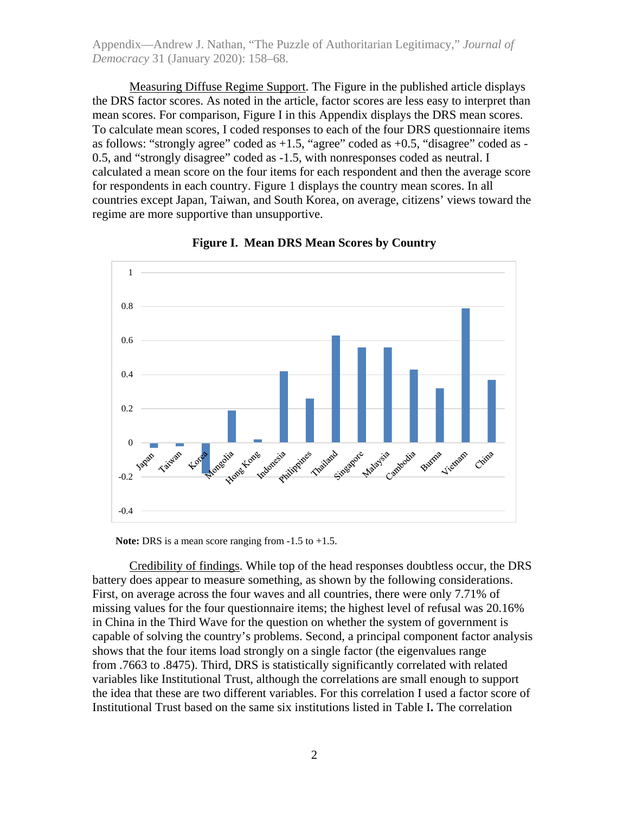Measuring Diffuse Regime Support. The Figure in the published article displays the DRS factor scores. As noted in the article, factor scores are less easy to interpret than mean scores. For comparison, Figure I in this Appendix displays the DRS mean scores. To calculate mean scores, I coded responses to each of the four DRS questionnaire items as follows: "strongly agree" coded as  $+1.5$ , "agree" coded as  $+0.5$ , "disagree" coded as -0.5, and "strongly disagree" coded as -1.5, with nonresponses coded as neutral. I calculated a mean score on the four items for each respondent and then the average score for respondents in each country. Figure 1 displays the country mean scores. In all countries except Japan, Taiwan, and South Korea, on average, citizens' views toward the regime are more supportive than unsupportive.





**Note:** DRS is a mean score ranging from -1.5 to +1.5.

Credibility of findings. While top of the head responses doubtless occur, the DRS battery does appear to measure something, as shown by the following considerations. First, on average across the four waves and all countries, there were only 7.71% of missing values for the four questionnaire items; the highest level of refusal was 20.16% in China in the Third Wave for the question on whether the system of government is capable of solving the country's problems. Second, a principal component factor analysis shows that the four items load strongly on a single factor (the eigenvalues range from .7663 to .8475). Third, DRS is statistically significantly correlated with related variables like Institutional Trust, although the correlations are small enough to support the idea that these are two different variables. For this correlation I used a factor score of Institutional Trust based on the same six institutions listed in Table I**.** The correlation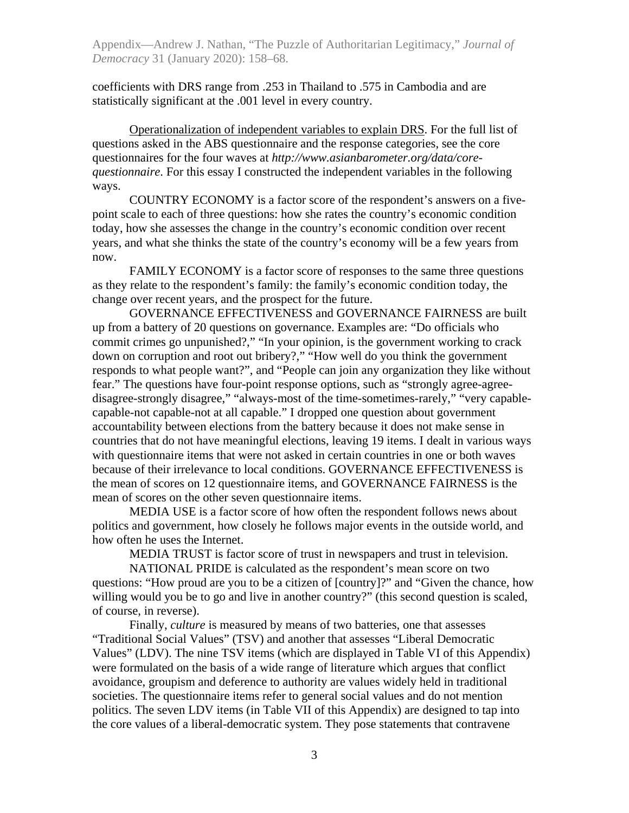coefficients with DRS range from .253 in Thailand to .575 in Cambodia and are statistically significant at the .001 level in every country.

Operationalization of independent variables to explain DRS. For the full list of questions asked in the ABS questionnaire and the response categories, see the core questionnaires for the four waves at *http://www.asianbarometer.org/data/corequestionnaire*. For this essay I constructed the independent variables in the following ways.

COUNTRY ECONOMY is a factor score of the respondent's answers on a fivepoint scale to each of three questions: how she rates the country's economic condition today, how she assesses the change in the country's economic condition over recent years, and what she thinks the state of the country's economy will be a few years from now.

FAMILY ECONOMY is a factor score of responses to the same three questions as they relate to the respondent's family: the family's economic condition today, the change over recent years, and the prospect for the future.

GOVERNANCE EFFECTIVENESS and GOVERNANCE FAIRNESS are built up from a battery of 20 questions on governance. Examples are: "Do officials who commit crimes go unpunished?," "In your opinion, is the government working to crack down on corruption and root out bribery?," "How well do you think the government responds to what people want?", and "People can join any organization they like without fear." The questions have four-point response options, such as "strongly agree-agreedisagree-strongly disagree," "always-most of the time-sometimes-rarely," "very capablecapable-not capable-not at all capable." I dropped one question about government accountability between elections from the battery because it does not make sense in countries that do not have meaningful elections, leaving 19 items. I dealt in various ways with questionnaire items that were not asked in certain countries in one or both waves because of their irrelevance to local conditions. GOVERNANCE EFFECTIVENESS is the mean of scores on 12 questionnaire items, and GOVERNANCE FAIRNESS is the mean of scores on the other seven questionnaire items.

MEDIA USE is a factor score of how often the respondent follows news about politics and government, how closely he follows major events in the outside world, and how often he uses the Internet.

MEDIA TRUST is factor score of trust in newspapers and trust in television.

NATIONAL PRIDE is calculated as the respondent's mean score on two questions: "How proud are you to be a citizen of [country]?" and "Given the chance, how willing would you be to go and live in another country?" (this second question is scaled, of course, in reverse).

Finally, *culture* is measured by means of two batteries, one that assesses "Traditional Social Values" (TSV) and another that assesses "Liberal Democratic Values" (LDV). The nine TSV items (which are displayed in Table VI of this Appendix) were formulated on the basis of a wide range of literature which argues that conflict avoidance, groupism and deference to authority are values widely held in traditional societies. The questionnaire items refer to general social values and do not mention politics. The seven LDV items (in Table VII of this Appendix) are designed to tap into the core values of a liberal-democratic system. They pose statements that contravene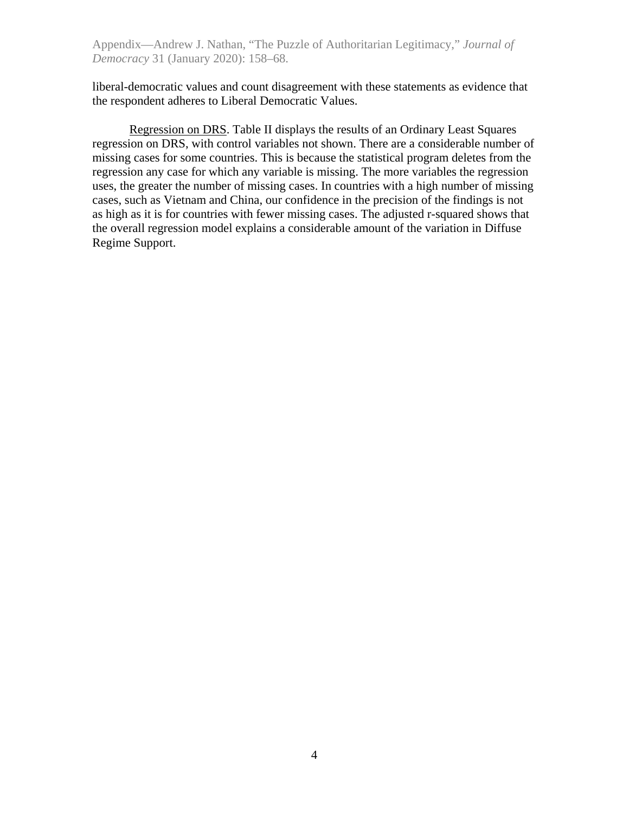liberal-democratic values and count disagreement with these statements as evidence that the respondent adheres to Liberal Democratic Values.

Regression on DRS. Table II displays the results of an Ordinary Least Squares regression on DRS, with control variables not shown. There are a considerable number of missing cases for some countries. This is because the statistical program deletes from the regression any case for which any variable is missing. The more variables the regression uses, the greater the number of missing cases. In countries with a high number of missing cases, such as Vietnam and China, our confidence in the precision of the findings is not as high as it is for countries with fewer missing cases. The adjusted r-squared shows that the overall regression model explains a considerable amount of the variation in Diffuse Regime Support.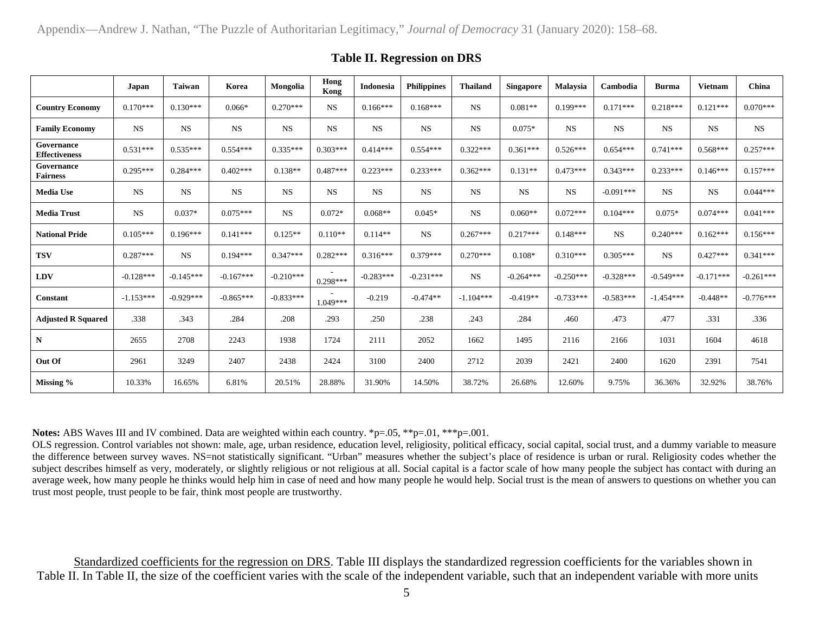|                                    | Japan       | Taiwan      | Korea       | Mongolia    | Hong<br>Kong         | Indonesia   | <b>Philippines</b> | <b>Thailand</b> | <b>Singapore</b> | <b>Malaysia</b> | Cambodia    | <b>Burma</b> | <b>Vietnam</b> | China       |
|------------------------------------|-------------|-------------|-------------|-------------|----------------------|-------------|--------------------|-----------------|------------------|-----------------|-------------|--------------|----------------|-------------|
| <b>Country Economy</b>             | $0.170***$  | $0.130***$  | $0.066*$    | $0.270***$  | <b>NS</b>            | $0.166***$  | $0.168***$         | <b>NS</b>       | $0.081**$        | $0.199***$      | $0.171***$  | $0.218***$   | $0.121***$     | $0.070***$  |
| <b>Family Economy</b>              | <b>NS</b>   | <b>NS</b>   | <b>NS</b>   | <b>NS</b>   | <b>NS</b>            | <b>NS</b>   | <b>NS</b>          | <b>NS</b>       | $0.075*$         | <b>NS</b>       | <b>NS</b>   | <b>NS</b>    | NS             | <b>NS</b>   |
| Governance<br><b>Effectiveness</b> | $0.531***$  | $0.535***$  | $0.554***$  | $0.335***$  | $0.303***$           | $0.414***$  | $0.554***$         | $0.322***$      | $0.361***$       | $0.526***$      | $0.654***$  | $0.741***$   | $0.568***$     | $0.257***$  |
| Governance<br><b>Fairness</b>      | $0.295***$  | $0.284***$  | $0.402***$  | $0.138**$   | $0.487***$           | $0.223***$  | $0.233***$         | $0.362***$      | $0.131**$        | $0.473***$      | $0.343***$  | $0.233***$   | $0.146***$     | $0.157***$  |
| <b>Media Use</b>                   | <b>NS</b>   | <b>NS</b>   | <b>NS</b>   | <b>NS</b>   | <b>NS</b>            | <b>NS</b>   | <b>NS</b>          | <b>NS</b>       | <b>NS</b>        | <b>NS</b>       | $-0.091***$ | <b>NS</b>    | <b>NS</b>      | $0.044***$  |
| <b>Media Trust</b>                 | <b>NS</b>   | $0.037*$    | $0.075***$  | <b>NS</b>   | $0.072*$             | $0.068**$   | $0.045*$           | <b>NS</b>       | $0.060**$        | $0.072***$      | $0.104***$  | $0.075*$     | $0.074***$     | $0.041***$  |
| <b>National Pride</b>              | $0.105***$  | $0.196***$  | $0.141***$  | $0.125**$   | $0.110**$            | $0.114**$   | <b>NS</b>          | $0.267***$      | $0.217***$       | $0.148***$      | NS.         | $0.240***$   | $0.162***$     | $0.156***$  |
| <b>TSV</b>                         | $0.287***$  | <b>NS</b>   | $0.194***$  | $0.347***$  | $0.282***$           | $0.316***$  | $0.379***$         | $0.270***$      | $0.108*$         | $0.310***$      | $0.305***$  | <b>NS</b>    | $0.427***$     | $0.341***$  |
| <b>LDV</b>                         | $-0.128***$ | $-0.145***$ | $-0.167***$ | $-0.210***$ | $\sim$<br>$0.298***$ | $-0.283***$ | $-0.231***$        | <b>NS</b>       | $-0.264***$      | $-0.250***$     | $-0.328***$ | $-0.549***$  | $-0.171***$    | $-0.261***$ |
| Constant                           | $-1.153***$ | $-0.929***$ | $-0.865***$ | $-0.833***$ | 1.049***             | $-0.219$    | $-0.474**$         | $-1.104***$     | $-0.419**$       | $-0.733***$     | $-0.583***$ | $-1.454***$  | $-0.448**$     | $-0.776***$ |
| <b>Adjusted R Squared</b>          | .338        | .343        | .284        | .208        | .293                 | .250        | .238               | .243            | .284             | .460            | .473        | .477         | .331           | .336        |
| N                                  | 2655        | 2708        | 2243        | 1938        | 1724                 | 2111        | 2052               | 1662            | 1495             | 2116            | 2166        | 1031         | 1604           | 4618        |
| Out Of                             | 2961        | 3249        | 2407        | 2438        | 2424                 | 3100        | 2400               | 2712            | 2039             | 2421            | 2400        | 1620         | 2391           | 7541        |
| Missing %                          | 10.33%      | 16.65%      | 6.81%       | 20.51%      | 28.88%               | 31.90%      | 14.50%             | 38.72%          | 26.68%           | 12.60%          | 9.75%       | 36.36%       | 32.92%         | 38.76%      |

## **Table II. Regression on DRS**

**Notes:** ABS Waves III and IV combined. Data are weighted within each country. \*p=.05, \*\*p=.01, \*\*\*p=.001.

OLS regression. Control variables not shown: male, age, urban residence, education level, religiosity, political efficacy, social capital, social trust, and a dummy variable to measure the difference between survey waves. NS=not statistically significant. "Urban" measures whether the subject's place of residence is urban or rural. Religiosity codes whether the subject describes himself as very, moderately, or slightly religious or not religious at all. Social capital is a factor scale of how many people the subject has contact with during an average week, how many people he thinks would help him in case of need and how many people he would help. Social trust is the mean of answers to questions on whether you can trust most people, trust people to be fair, think most people are trustworthy.

Standardized coefficients for the regression on DRS. Table III displays the standardized regression coefficients for the variables shown in Table II. In Table II, the size of the coefficient varies with the scale of the independent variable, such that an independent variable with more units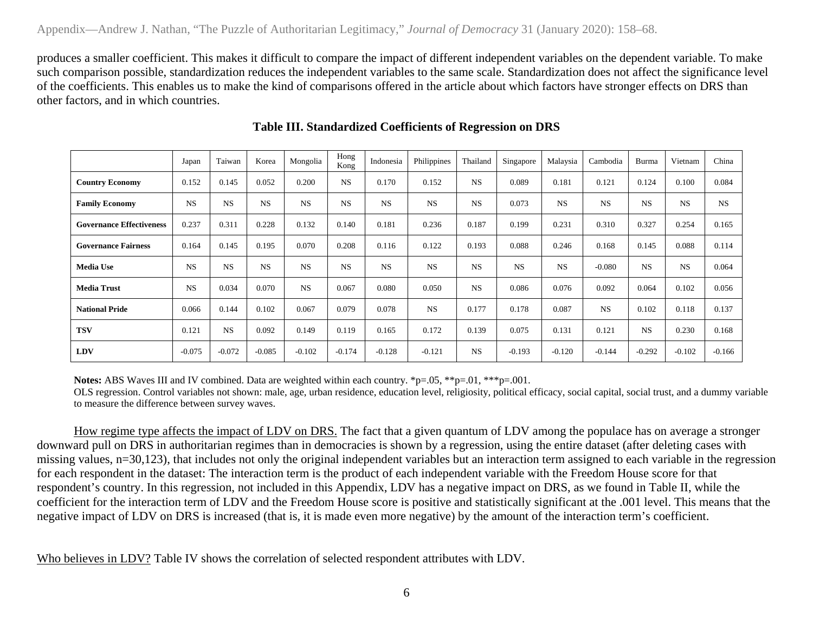produces a smaller coefficient. This makes it difficult to compare the impact of different independent variables on the dependent variable. To make such comparison possible, standardization reduces the independent variables to the same scale. Standardization does not affect the significance level of the coefficients. This enables us to make the kind of comparisons offered in the article about which factors have stronger effects on DRS than other factors, and in which countries.

|                                 | Japan     | Taiwan    | Korea     | Mongolia  | Hong<br>Kong | Indonesia | Philippines | Thailand  | Singapore | Malaysia  | Cambodia  | Burma     | Vietnam   | China     |
|---------------------------------|-----------|-----------|-----------|-----------|--------------|-----------|-------------|-----------|-----------|-----------|-----------|-----------|-----------|-----------|
| <b>Country Economy</b>          | 0.152     | 0.145     | 0.052     | 0.200     | <b>NS</b>    | 0.170     | 0.152       | <b>NS</b> | 0.089     | 0.181     | 0.121     | 0.124     | 0.100     | 0.084     |
| <b>Family Economy</b>           | <b>NS</b> | <b>NS</b> | <b>NS</b> | <b>NS</b> | <b>NS</b>    | <b>NS</b> | <b>NS</b>   | <b>NS</b> | 0.073     | <b>NS</b> | <b>NS</b> | <b>NS</b> | <b>NS</b> | <b>NS</b> |
| <b>Governance Effectiveness</b> | 0.237     | 0.311     | 0.228     | 0.132     | 0.140        | 0.181     | 0.236       | 0.187     | 0.199     | 0.231     | 0.310     | 0.327     | 0.254     | 0.165     |
| <b>Governance Fairness</b>      | 0.164     | 0.145     | 0.195     | 0.070     | 0.208        | 0.116     | 0.122       | 0.193     | 0.088     | 0.246     | 0.168     | 0.145     | 0.088     | 0.114     |
| <b>Media Use</b>                | <b>NS</b> | <b>NS</b> | <b>NS</b> | <b>NS</b> | <b>NS</b>    | <b>NS</b> | <b>NS</b>   | <b>NS</b> | <b>NS</b> | <b>NS</b> | $-0.080$  | <b>NS</b> | <b>NS</b> | 0.064     |
| <b>Media Trust</b>              | <b>NS</b> | 0.034     | 0.070     | <b>NS</b> | 0.067        | 0.080     | 0.050       | <b>NS</b> | 0.086     | 0.076     | 0.092     | 0.064     | 0.102     | 0.056     |
| <b>National Pride</b>           | 0.066     | 0.144     | 0.102     | 0.067     | 0.079        | 0.078     | <b>NS</b>   | 0.177     | 0.178     | 0.087     | <b>NS</b> | 0.102     | 0.118     | 0.137     |
| <b>TSV</b>                      | 0.121     | <b>NS</b> | 0.092     | 0.149     | 0.119        | 0.165     | 0.172       | 0.139     | 0.075     | 0.131     | 0.121     | <b>NS</b> | 0.230     | 0.168     |
| <b>LDV</b>                      | $-0.075$  | $-0.072$  | $-0.085$  | $-0.102$  | $-0.174$     | $-0.128$  | $-0.121$    | <b>NS</b> | $-0.193$  | $-0.120$  | $-0.144$  | $-0.292$  | $-0.102$  | $-0.166$  |

# **Table III. Standardized Coefficients of Regression on DRS**

**Notes:** ABS Waves III and IV combined. Data are weighted within each country. \*p=.05, \*\*p=.01, \*\*\*p=.001.

OLS regression. Control variables not shown: male, age, urban residence, education level, religiosity, political efficacy, social capital, social trust, and a dummy variable to measure the difference between survey waves.

How regime type affects the impact of LDV on DRS. The fact that a given quantum of LDV among the populace has on average a stronger downward pull on DRS in authoritarian regimes than in democracies is shown by a regression, using the entire dataset (after deleting cases with missing values, n=30,123), that includes not only the original independent variables but an interaction term assigned to each variable in the regression for each respondent in the dataset: The interaction term is the product of each independent variable with the Freedom House score for that respondent's country. In this regression, not included in this Appendix, LDV has a negative impact on DRS, as we found in Table II, while the coefficient for the interaction term of LDV and the Freedom House score is positive and statistically significant at the .001 level. This means that the negative impact of LDV on DRS is increased (that is, it is made even more negative) by the amount of the interaction term's coefficient.

Who believes in LDV? Table IV shows the correlation of selected respondent attributes with LDV.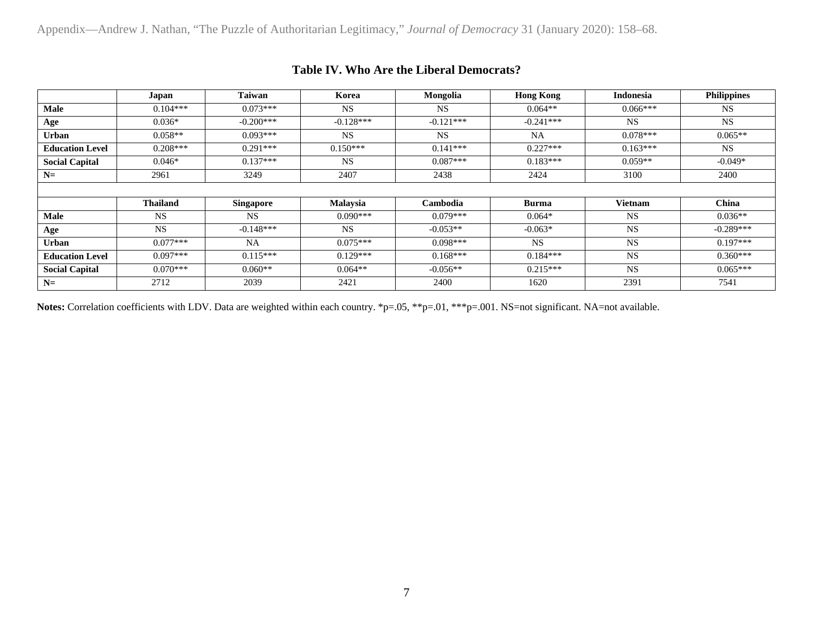|                        | Japan           | Taiwan           | Korea           | Mongolia    | <b>Hong Kong</b> | <b>Indonesia</b> | <b>Philippines</b> |
|------------------------|-----------------|------------------|-----------------|-------------|------------------|------------------|--------------------|
| Male                   | $0.104***$      | $0.073***$       | <b>NS</b>       | <b>NS</b>   | $0.064**$        | $0.066***$       | <b>NS</b>          |
| Age                    | $0.036*$        | $-0.200$ ***     | $-0.128***$     | $-0.121***$ | $-0.241***$      | <b>NS</b>        | <b>NS</b>          |
| <b>Urban</b>           | $0.058**$       | $0.093***$       | <b>NS</b>       | <b>NS</b>   | <b>NA</b>        | $0.078***$       | $0.065**$          |
| <b>Education Level</b> | $0.208***$      | $0.291***$       | $0.150***$      | $0.141***$  | $0.227***$       | $0.163***$       | <b>NS</b>          |
| <b>Social Capital</b>  | $0.046*$        | $0.137***$       | <b>NS</b>       | $0.087***$  | $0.183***$       | $0.059**$        | $-0.049*$          |
| $N=$                   | 2961            | 3249             | 2407            | 2438        | 2424             | 3100             | 2400               |
|                        |                 |                  |                 |             |                  |                  |                    |
|                        | <b>Thailand</b> | <b>Singapore</b> | <b>Malaysia</b> | Cambodia    | <b>Burma</b>     | Vietnam          | <b>China</b>       |
| <b>Male</b>            | <b>NS</b>       | <b>NS</b>        | $0.090***$      | $0.079***$  | $0.064*$         | <b>NS</b>        | $0.036**$          |
| Age                    | <b>NS</b>       | $-0.148***$      | <b>NS</b>       | $-0.053**$  | $-0.063*$        | <b>NS</b>        | $-0.289***$        |
| <b>Urban</b>           | $0.077***$      | <b>NA</b>        | $0.075***$      | $0.098***$  | <b>NS</b>        | <b>NS</b>        | $0.197***$         |
| <b>Education Level</b> | $0.097***$      | $0.115***$       | $0.129***$      | $0.168***$  | $0.184***$       | <b>NS</b>        | $0.360***$         |
| <b>Social Capital</b>  | $0.070***$      | $0.060**$        | $0.064**$       | $-0.056**$  | $0.215***$       | <b>NS</b>        | $0.065***$         |
| $N =$                  | 2712            | 2039             | 2421            | 2400        | 1620             | 2391             | 7541               |

# **Table IV. Who Are the Liberal Democrats?**

Notes: Correlation coefficients with LDV. Data are weighted within each country. \*p=.05, \*\*p=.01, \*\*\*p=.001. NS=not significant. NA=not available.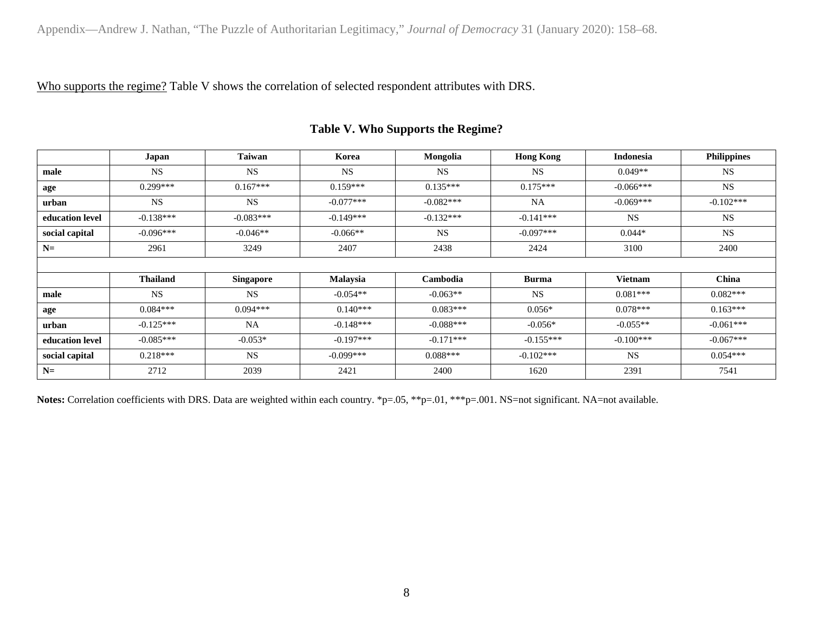Who supports the regime? Table V shows the correlation of selected respondent attributes with DRS.

|                 | Japan           | Taiwan           | Korea       | Mongolia    | <b>Hong Kong</b> | <b>Indonesia</b> | <b>Philippines</b> |
|-----------------|-----------------|------------------|-------------|-------------|------------------|------------------|--------------------|
| male            | <b>NS</b>       | <b>NS</b>        | <b>NS</b>   | <b>NS</b>   | <b>NS</b>        | $0.049**$        | <b>NS</b>          |
| age             | $0.299***$      | $0.167***$       | $0.159***$  | $0.135***$  | $0.175***$       | $-0.066***$      | <b>NS</b>          |
| urban           | <b>NS</b>       | <b>NS</b>        | $-0.077***$ | $-0.082***$ | <b>NA</b>        | $-0.069***$      | $-0.102***$        |
| education level | $-0.138***$     | $-0.083***$      | $-0.149***$ | $-0.132***$ | $-0.141***$      | <b>NS</b>        | <b>NS</b>          |
| social capital  | $-0.096***$     | $-0.046**$       | $-0.066**$  | <b>NS</b>   | $-0.097***$      | $0.044*$         | <b>NS</b>          |
| $N=$            | 2961            | 3249             | 2407        | 2438        | 2424             | 3100             | 2400               |
|                 |                 |                  |             |             |                  |                  |                    |
|                 | <b>Thailand</b> | <b>Singapore</b> | Malaysia    | Cambodia    | <b>Burma</b>     | <b>Vietnam</b>   | China              |
| male            | <b>NS</b>       | <b>NS</b>        | $-0.054**$  | $-0.063**$  | <b>NS</b>        | $0.081***$       | $0.082***$         |
| age             | $0.084***$      | $0.094***$       | $0.140***$  | $0.083***$  | $0.056*$         | $0.078***$       | $0.163***$         |
| urban           | $-0.125***$     | <b>NA</b>        | $-0.148***$ | $-0.088***$ | $-0.056*$        | $-0.055**$       | $-0.061***$        |
| education level | $-0.085***$     | $-0.053*$        | $-0.197***$ | $-0.171***$ | $-0.155***$      | $-0.100***$      | $-0.067***$        |
| social capital  | $0.218***$      | <b>NS</b>        | $-0.099***$ | $0.088***$  | $-0.102***$      | <b>NS</b>        | $0.054***$         |
| $N=$            | 2712            | 2039             | 2421        | 2400        | 1620             | 2391             | 7541               |

# **Table V. Who Supports the Regime?**

Notes: Correlation coefficients with DRS. Data are weighted within each country. \*p=.05, \*\*p=.01, \*\*\*p=.001. NS=not significant. NA=not available.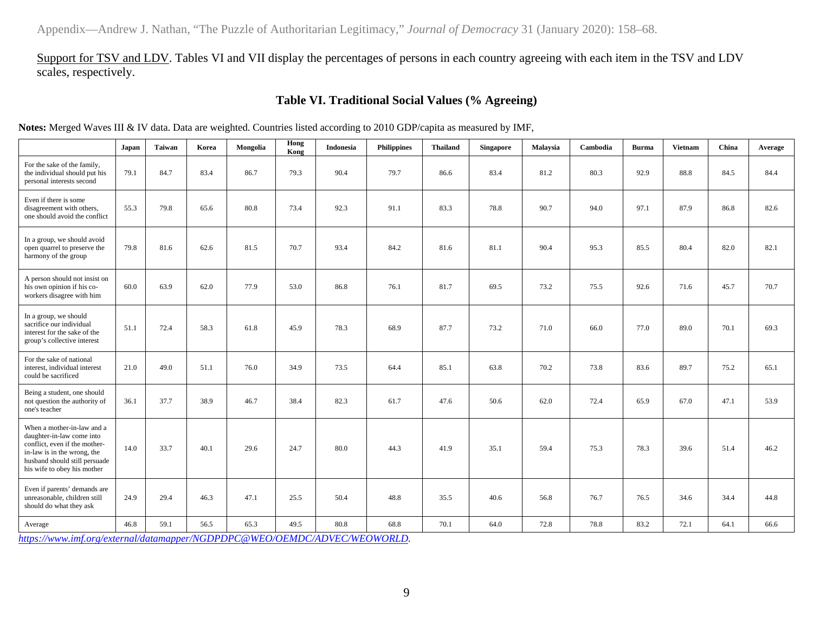Support for TSV and LDV. Tables VI and VII display the percentages of persons in each country agreeing with each item in the TSV and LDV scales, respectively.

## **Table VI. Traditional Social Values (% Agreeing)**

**Notes:** Merged Waves III & IV data. Data are weighted. Countries listed according to 2010 GDP/capita as measured by IMF,

|                                                                                                                                                                                         | Japan | Taiwan | Korea | Mongolia | Hong<br>Kong | <b>Indonesia</b> | Philippines | <b>Thailand</b> | <b>Singapore</b> | Malaysia | Cambodia | <b>Burma</b> | <b>Vietnam</b> | China | Average |
|-----------------------------------------------------------------------------------------------------------------------------------------------------------------------------------------|-------|--------|-------|----------|--------------|------------------|-------------|-----------------|------------------|----------|----------|--------------|----------------|-------|---------|
| For the sake of the family,<br>the individual should put his<br>personal interests second                                                                                               | 79.1  | 84.7   | 83.4  | 86.7     | 79.3         | 90.4             | 79.7        | 86.6            | 83.4             | 81.2     | 80.3     | 92.9         | 88.8           | 84.5  | 84.4    |
| Even if there is some<br>disagreement with others,<br>one should avoid the conflict                                                                                                     | 55.3  | 79.8   | 65.6  | 80.8     | 73.4         | 92.3             | 91.1        | 83.3            | 78.8             | 90.7     | 94.0     | 97.1         | 87.9           | 86.8  | 82.6    |
| In a group, we should avoid<br>open quarrel to preserve the<br>harmony of the group                                                                                                     | 79.8  | 81.6   | 62.6  | 81.5     | 70.7         | 93.4             | 84.2        | 81.6            | 81.1             | 90.4     | 95.3     | 85.5         | 80.4           | 82.0  | 82.1    |
| A person should not insist on<br>his own opinion if his co-<br>workers disagree with him                                                                                                | 60.0  | 63.9   | 62.0  | 77.9     | 53.0         | 86.8             | 76.1        | 81.7            | 69.5             | 73.2     | 75.5     | 92.6         | 71.6           | 45.7  | 70.7    |
| In a group, we should<br>sacrifice our individual<br>interest for the sake of the<br>group's collective interest                                                                        | 51.1  | 72.4   | 58.3  | 61.8     | 45.9         | 78.3             | 68.9        | 87.7            | 73.2             | 71.0     | 66.0     | 77.0         | 89.0           | 70.1  | 69.3    |
| For the sake of national<br>interest, individual interest<br>could be sacrificed                                                                                                        | 21.0  | 49.0   | 51.1  | 76.0     | 34.9         | 73.5             | 64.4        | 85.1            | 63.8             | 70.2     | 73.8     | 83.6         | 89.7           | 75.2  | 65.1    |
| Being a student, one should<br>not question the authority of<br>one's teacher                                                                                                           | 36.1  | 37.7   | 38.9  | 46.7     | 38.4         | 82.3             | 61.7        | 47.6            | 50.6             | 62.0     | 72.4     | 65.9         | 67.0           | 47.1  | 53.9    |
| When a mother-in-law and a<br>daughter-in-law come into<br>conflict, even if the mother-<br>in-law is in the wrong, the<br>husband should still persuade<br>his wife to obey his mother | 14.0  | 33.7   | 40.1  | 29.6     | 24.7         | 80.0             | 44.3        | 41.9            | 35.1             | 59.4     | 75.3     | 78.3         | 39.6           | 51.4  | 46.2    |
| Even if parents' demands are<br>unreasonable, children still<br>should do what they ask                                                                                                 | 24.9  | 29.4   | 46.3  | 47.1     | 25.5         | 50.4             | 48.8        | 35.5            | 40.6             | 56.8     | 76.7     | 76.5         | 34.6           | 34.4  | 44.8    |
| Average                                                                                                                                                                                 | 46.8  | 59.1   | 56.5  | 65.3     | 49.5         | 80.8             | 68.8        | 70.1            | 64.0             | 72.8     | 78.8     | 83.2         | 72.1           | 64.1  | 66.6    |

*[https://www.imf.org/external/datamapper/NGDPDPC@WEO/OEMDC/ADVEC/WEOWORLD.](https://www.imf.org/external/datamapper/NGDPDPC@WEO/OEMDC/ADVEC/WEOWORLD)*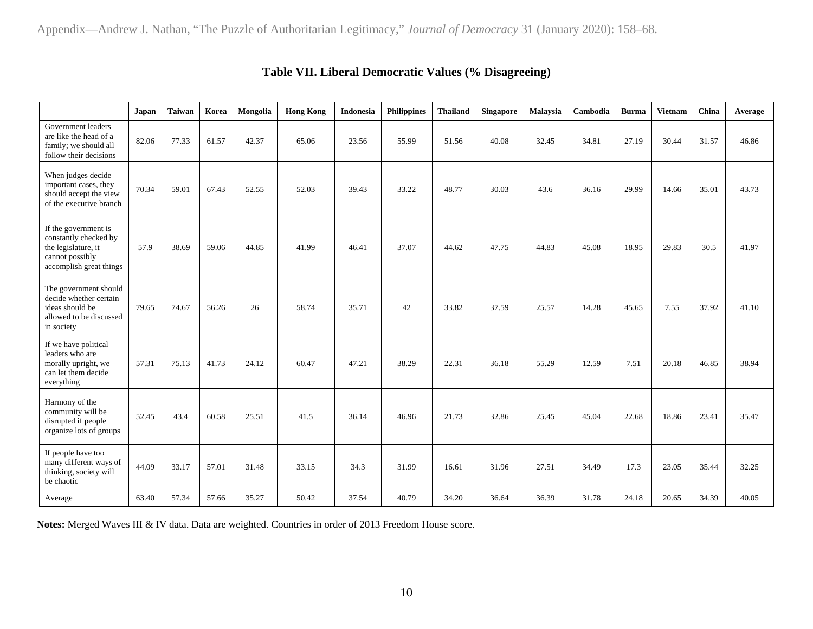|                                                                                                                    | Japan | <b>Taiwan</b> | Korea | Mongolia | <b>Hong Kong</b> | Indonesia | <b>Philippines</b> | <b>Thailand</b> | Singapore | Malaysia | Cambodia | <b>Burma</b> | <b>Vietnam</b> | China | Average |
|--------------------------------------------------------------------------------------------------------------------|-------|---------------|-------|----------|------------------|-----------|--------------------|-----------------|-----------|----------|----------|--------------|----------------|-------|---------|
| Government leaders<br>are like the head of a<br>family; we should all<br>follow their decisions                    | 82.06 | 77.33         | 61.57 | 42.37    | 65.06            | 23.56     | 55.99              | 51.56           | 40.08     | 32.45    | 34.81    | 27.19        | 30.44          | 31.57 | 46.86   |
| When judges decide<br>important cases, they<br>should accept the view<br>of the executive branch                   | 70.34 | 59.01         | 67.43 | 52.55    | 52.03            | 39.43     | 33.22              | 48.77           | 30.03     | 43.6     | 36.16    | 29.99        | 14.66          | 35.01 | 43.73   |
| If the government is<br>constantly checked by<br>the legislature, it<br>cannot possibly<br>accomplish great things | 57.9  | 38.69         | 59.06 | 44.85    | 41.99            | 46.41     | 37.07              | 44.62           | 47.75     | 44.83    | 45.08    | 18.95        | 29.83          | 30.5  | 41.97   |
| The government should<br>decide whether certain<br>ideas should be<br>allowed to be discussed<br>in society        | 79.65 | 74.67         | 56.26 | 26       | 58.74            | 35.71     | 42                 | 33.82           | 37.59     | 25.57    | 14.28    | 45.65        | 7.55           | 37.92 | 41.10   |
| If we have political<br>leaders who are<br>morally upright, we<br>can let them decide<br>everything                | 57.31 | 75.13         | 41.73 | 24.12    | 60.47            | 47.21     | 38.29              | 22.31           | 36.18     | 55.29    | 12.59    | 7.51         | 20.18          | 46.85 | 38.94   |
| Harmony of the<br>community will be<br>disrupted if people<br>organize lots of groups                              | 52.45 | 43.4          | 60.58 | 25.51    | 41.5             | 36.14     | 46.96              | 21.73           | 32.86     | 25.45    | 45.04    | 22.68        | 18.86          | 23.41 | 35.47   |
| If people have too<br>many different ways of<br>thinking, society will<br>be chaotic                               | 44.09 | 33.17         | 57.01 | 31.48    | 33.15            | 34.3      | 31.99              | 16.61           | 31.96     | 27.51    | 34.49    | 17.3         | 23.05          | 35.44 | 32.25   |
| Average                                                                                                            | 63.40 | 57.34         | 57.66 | 35.27    | 50.42            | 37.54     | 40.79              | 34.20           | 36.64     | 36.39    | 31.78    | 24.18        | 20.65          | 34.39 | 40.05   |

# **Table VII. Liberal Democratic Values (% Disagreeing)**

**Notes:** Merged Waves III & IV data. Data are weighted. Countries in order of 2013 Freedom House score.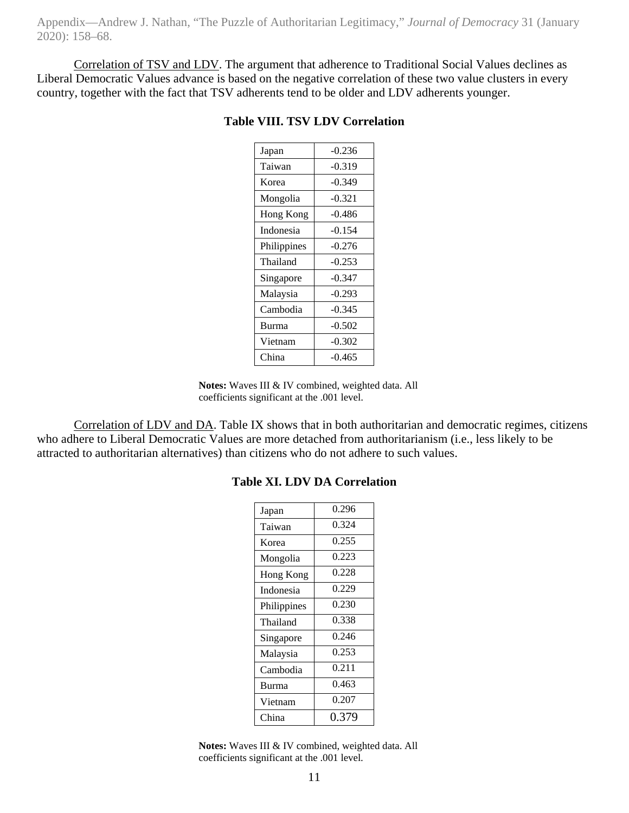Correlation of TSV and LDV. The argument that adherence to Traditional Social Values declines as Liberal Democratic Values advance is based on the negative correlation of these two value clusters in every country, together with the fact that TSV adherents tend to be older and LDV adherents younger.

| Japan       | $-0.236$ |
|-------------|----------|
| Taiwan      | $-0.319$ |
| Korea       | $-0.349$ |
| Mongolia    | $-0.321$ |
| Hong Kong   | $-0.486$ |
| Indonesia   | $-0.154$ |
| Philippines | $-0.276$ |
| Thailand    | $-0.253$ |
| Singapore   | $-0.347$ |
| Malaysia    | $-0.293$ |
| Cambodia    | $-0.345$ |
| Burma       | $-0.502$ |
| Vietnam     | $-0.302$ |
| China       | $-0.465$ |

#### **Table VIII. TSV LDV Correlation**

**Notes:** Waves III & IV combined, weighted data. All coefficients significant at the .001 level.

Correlation of LDV and DA. Table IX shows that in both authoritarian and democratic regimes, citizens who adhere to Liberal Democratic Values are more detached from authoritarianism (i.e., less likely to be attracted to authoritarian alternatives) than citizens who do not adhere to such values.

| Japan        | 0.296 |
|--------------|-------|
| Taiwan       | 0.324 |
| Korea        | 0.255 |
| Mongolia     | 0.223 |
| Hong Kong    | 0.228 |
| Indonesia    | 0.229 |
| Philippines  | 0.230 |
| Thailand     | 0.338 |
| Singapore    | 0.246 |
| Malaysia     | 0.253 |
| Cambodia     | 0.211 |
| <b>Burma</b> | 0.463 |
| Vietnam      | 0.207 |
| China        | 0.379 |

#### **Table XI. LDV DA Correlation**

**Notes:** Waves III & IV combined, weighted data. All coefficients significant at the .001 level.